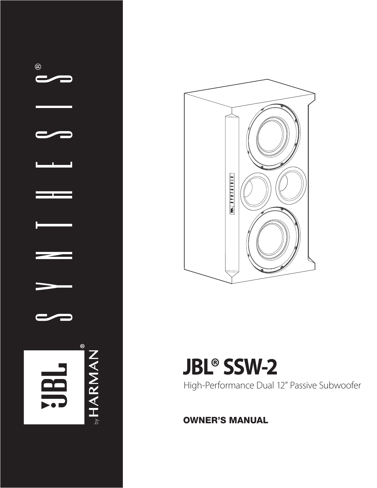



# **JBL® SSW-2**

High-Performance Dual 12" Passive Subwoofer

OWNER'S MANUAL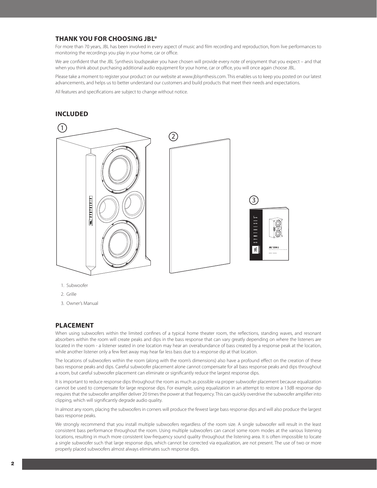# **THANK YOU FOR CHOOSING JBL®**

For more than 70 years, JBL has been involved in every aspect of music and film recording and reproduction, from live performances to monitoring the recordings you play in your home, car or office.

We are confident that the JBL Synthesis loudspeaker you have chosen will provide every note of enjoyment that you expect – and that when you think about purchasing additional audio equipment for your home, car or office, you will once again choose JBL.

Please take a moment to register your product on our website at www.jblsynthesis.com. This enables us to keep you posted on our latest advancements, and helps us to better understand our customers and build products that meet their needs and expectations.

All features and specifications are subject to change without notice.

# **INCLUDED**



- 1. Subwoofer
- 2. Grille
- 3. Owner's Manual

#### **PLACEMENT**

When using subwoofers within the limited confines of a typical home theater room, the reflections, standing waves, and resonant absorbers within the room will create peaks and dips in the bass response that can vary greatly depending on where the listeners are located in the room - a listener seated in one location may hear an overabundance of bass created by a response peak at the location, while another listener only a few feet away may hear far less bass due to a response dip at that location.

The locations of subwoofers within the room (along with the room's dimensions) also have a profound effect on the creation of these bass response peaks and dips. Careful subwoofer placement alone cannot compensate for all bass response peaks and dips throughout a room, but careful subwoofer placement can eliminate or significantly reduce the largest response dips.

It is important to reduce response dips throughout the room as much as possible via proper subwoofer placement because equalization cannot be used to compensate for large response dips. For example, using equalization in an attempt to restore a 13dB response dip requires that the subwoofer amplifier deliver 20 times the power at that frequency. This can quickly overdrive the subwoofer amplifier into clipping, which will significantly degrade audio quality.

In almost any room, placing the subwoofers in corners will produce the fewest large bass response dips and will also produce the largest bass response peaks.

We strongly recommend that you install multiple subwoofers regardless of the room size. A single subwoofer will result in the least consistent bass performance throughout the room. Using multiple subwoofers can cancel some room modes at the various listening locations, resulting in much more consistent low-frequency sound quality throughout the listening area. It is often impossible to locate a single subwoofer such that large response dips, which cannot be corrected via equalization, are not present. The use of two or more properly placed subwoofers almost always eliminates such response dips.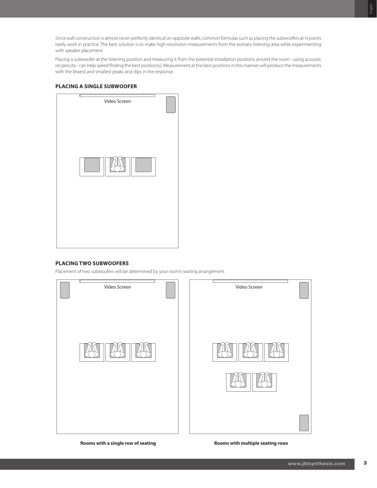Since wall construction is almost never perfectly identical on opposite walls, common formulas such as placing the subwoofers at ¼ points rarely work in practice. The best solution is to make high-resolution measurements from the primary listening area while experimenting with speaker placement.

Placing a subwoofer at the listening position and measuring it from the potential installation positions around the room - using acoustic reciprocity - can help speed finding the best position(s). Measurement at the best positions in this manner will produce the measurements with the fewest and smallest peaks and dips in the response.

#### **PLACING A SINGLE SUBWOOFER**

| Video Screen |  |
|--------------|--|
|              |  |
|              |  |

#### **PLACING TWO SUBWOOFERS**

Placement of two subwoofers will be determined by your room's seating arrangement.



**Rooms with a single row of seating Rooms with multiple seating rows**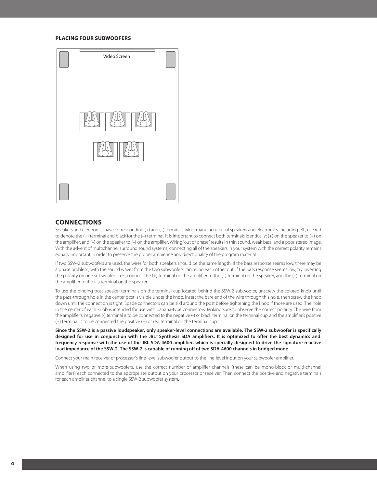#### **PLACING FOUR SUBWOOFERS**



### **CONNECTIONS**

Speakers and electronics have corresponding (+) and (–) terminals. Most manufacturers of speakers and electronics, including JBL, use red to denote the (+) terminal and black for the (–) terminal. It is important to connect both terminals identically: (+) on the speaker to (+) on the amplifier, and (–) on the speaker to (–) on the amplifier. Wiring"out of phase" results in thin sound, weak bass, and a poor stereo image. With the advent of multichannel surround sound systems, connecting all of the speakers in your system with the correct polarity remains equally important in order to preserve the proper ambience and directionality of the program material.

If two SSW-2 subwoofers are used, the wires for both speakers should be the same length. If the bass response seems low, there may be a phase problem, with the sound waves from the two subwoofers canceling each other out. If the bass response seems low, try inverting the polarity on one subwoofer – i.e., connect the (+) terminal on the amplifier to the (–) terminal on the speaker, and the (–) terminal on the amplifier to the (+) terminal on the speaker.

To use the binding-post speaker terminals on the terminal cup located behind the SSW-2 subwoofer, unscrew the colored knob until the pass-through hole in the center post is visible under the knob. Insert the bare end of the wire through this hole, then screw the knob down until the connection is tight. Spade connectors can be slid around the post before tightening the knob if those are used. The hole in the center of each knob is intended for use with banana-type connectors. Making sure to observe the correct polarity. The wire from the amplifier's negative (-) terminal is to be connected to the negative (-) or black terminal on the terminal cup, and the amplifier's positive (+) terminal is to be connected the positive (+) or red terminal on the terminal cup.

**Since the SSW-2 is a passive loudspeaker, only speaker-level connections are available. The SSW-2 subwoofer is specifically designed for use in conjunction with the JBL® Synthesis SDA amplifiers. It is optimized to offer the best dynamics and frequency response with the use of the JBL SDA-4600 amplifier, which is specially designed to drive the signature reactive load impedance of the SSW-2. The SSW-2 is capable of running off of two SDA-4600 channels in bridged mode.**

Connect your main receiver or processor's line-level subwoofer output to the line-level input on your subwoofer amplifier.

When using two or more subwoofers, use the correct number of amplifier channels (these can be mono-block or multi-channel amplifiers) each connected to the appropriate output on your processor or receiver. Then connect the positive and negative terminals for each amplifier channel to a single SSW-2 subwoofer system.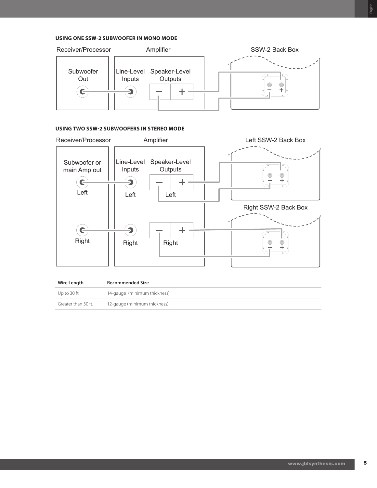## **USING ONE SSW-2 SUBWOOFER IN MONO MODE**



# **USING TWO SSW-2 SUBWOOFERS IN STEREO MODE**



| Wire Length         | <b>Recommended Size</b>      |
|---------------------|------------------------------|
| Up to 30 ft.        | 14-gauge (minimum thickness) |
| Greater than 30 ft. | 12-gauge (minimum thickness) |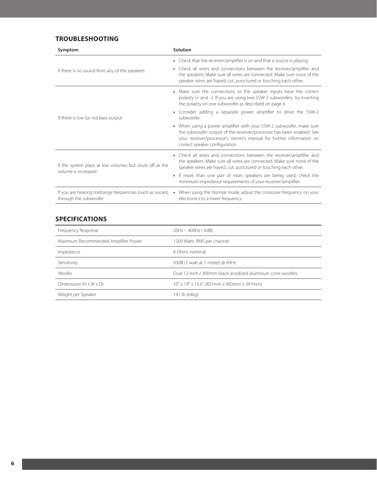# **TROUBLESHOOTING**

| Symptom                                                                           | Solution                                                                                                                                                                                                                                                                                      |  |  |  |  |
|-----------------------------------------------------------------------------------|-----------------------------------------------------------------------------------------------------------------------------------------------------------------------------------------------------------------------------------------------------------------------------------------------|--|--|--|--|
| If there is no sound from any of the speakers                                     | • Check that the receiver/amplifier is on and that a source is playing.<br>• Check all wires and connections between the receiver/amplifier and<br>the speakers. Make sure all wires are connected. Make sure none of the<br>speaker wires are frayed, cut, punctured or touching each other. |  |  |  |  |
|                                                                                   | • Make sure the connections to the speaker inputs have the correct<br>polarity (+ and -). If you are using two SSW-2 subwoofers, try inverting<br>the polarity on one subwoofer as described on page 4.                                                                                       |  |  |  |  |
| If there is low (or no) bass output                                               | • Consider adding a separate power amplifier to drive the SSW-2<br>subwoofer                                                                                                                                                                                                                  |  |  |  |  |
|                                                                                   | • When using a power amplifier with your SSW-2 subwoofer, make sure<br>the subwoofer output of the receiver/processor has been enabled. See<br>your receiver/processor's owner's manual for further information on<br>correct speaker configuration.                                          |  |  |  |  |
| If the system plays at low volumes but shuts off as the<br>volume is increased    | Check all wires and connections between the receiver/amplifier and<br>$\bullet$<br>the speakers. Make sure all wires are connected. Make sure none of the<br>speaker wires are frayed, cut, punctured or touching each other.                                                                 |  |  |  |  |
|                                                                                   | • If more than one pair of main speakers are being used, check the<br>minimum-impedance requirements of your receiver/amplifier.                                                                                                                                                              |  |  |  |  |
| If you are hearing midrange frequencies (such as vocals)<br>through the subwoofer | When using the Normal mode, adjust the crossover frequency on your<br>$\bullet$<br>electronics to a lower frequency.                                                                                                                                                                          |  |  |  |  |

# **SPECIFICATIONS**

| Frequency Response                  | 20Hz - 400Hz (-6dB)                                       |  |  |  |  |
|-------------------------------------|-----------------------------------------------------------|--|--|--|--|
| Maximum Recommended Amplifier Power | 1200 Watts RMS per channel                                |  |  |  |  |
| Impedance                           | 8 Ohms nominal                                            |  |  |  |  |
| Sensitivity                         | 93dB (1 watt at 1 meter) @ 60Hz                           |  |  |  |  |
| Woofer                              | Dual 12-inch / 300mm black-anodized aluminum cone woofers |  |  |  |  |
| Dimensions $(H \times W \times D)$  | 33" x 19" x 15.6" (837mm x 483mm x 397mm)                 |  |  |  |  |
| Weight per Speaker                  | 141 lb (64kg)                                             |  |  |  |  |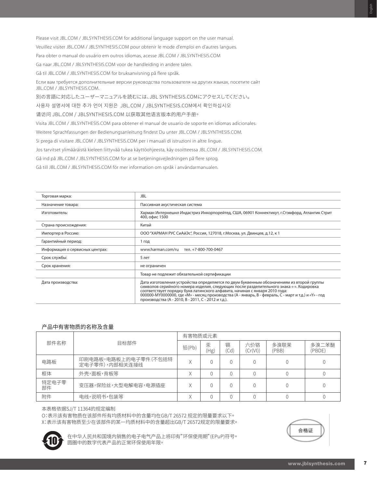Please visit JBL.COM / JBLSYNTHESIS.COM for additional language support on the user manual. Veuillez visiter JBL.COM / JBLSYNTHESIS.COM pour obtenir le mode d'emploi en d'autres langues. Para obter o manual do usuário em outros idiomas, acesse JBL.COM / JBLSYNTHESIS.COM Ga naar JBL.COM / JBLSYNTHESIS.COM voor de handleiding in andere talen.

Gå til JBL.COM / JBLSYNTHESIS.COM for bruksanvisning på flere språk.

Если вам требуется дополнительные версии руководства пользователя на других языках, посетите сайт JBL.COM / JBLSYNTHESIS.COM.

別の言語に対応したユーザーマニュアルを読むには、JBL SYNTHESIS.COMにアクセスしてください。

사용자 설명서에 대한 추가 언어 지원은 JBL.COM / JBLSYNTHESIS.COM에서 확인하십시오

请访问 JBL.COM / JBLSYNTHESIS.COM 以获取其他语言版本的用户手册。

Visita JBL.COM / JBLSYNTHESIS.COM para obtener el manual de usuario de soporte en idiomas adicionales.

Weitere Sprachfassungen der Bedienungsanleitung findest Du unter JBL.COM / JBLSYNTHESIS.COM.

Si prega di visitare JBL.COM / JBLSYNTHESIS.COM per i manuali di istruzioni in altre lingue.

Jos tarvitset ylimääräistä kieleen liittyvää tukea käyttöohjeesta, käy osoitteessa JBL.COM / JBLSYNTHESIS.COM.

Gå ind på JBL.COM / JBLSYNTHESIS.COM for at se betjeningsvejledningen på flere sprog.

Gå till JBL.COM / JBLSYNTHESIS.COM för mer information om språk i användarmanualen.

| Торговая марка:                 | JBL                                                                                                                                                                                                                                                                                                                                                                                                                                 |  |  |  |  |
|---------------------------------|-------------------------------------------------------------------------------------------------------------------------------------------------------------------------------------------------------------------------------------------------------------------------------------------------------------------------------------------------------------------------------------------------------------------------------------|--|--|--|--|
| Назначение товара:              | Пассивная акустическая система                                                                                                                                                                                                                                                                                                                                                                                                      |  |  |  |  |
| Изготовитель:                   | Харман Интернешнл Индастриз Инкорпорейтед, США, 06901 Коннектикут, г.Стэмфорд, Атлантик Стрит<br>400, офис 1500                                                                                                                                                                                                                                                                                                                     |  |  |  |  |
| Страна происхождения:           | Китай                                                                                                                                                                                                                                                                                                                                                                                                                               |  |  |  |  |
| Импортер в Россию:              | ООО "ХАРМАН РУС СиАйЭс", Россия, 127018, г. Москва, ул. Двинцев, д.12, к 1                                                                                                                                                                                                                                                                                                                                                          |  |  |  |  |
| Гарантийный период:             | 1 год                                                                                                                                                                                                                                                                                                                                                                                                                               |  |  |  |  |
| Информация о сервисных центрах: | www.harman.com/ru<br>тел. +7-800-700-0467                                                                                                                                                                                                                                                                                                                                                                                           |  |  |  |  |
| Срок службы:                    | 5 лет                                                                                                                                                                                                                                                                                                                                                                                                                               |  |  |  |  |
| Срок хранения:                  | не ограничен                                                                                                                                                                                                                                                                                                                                                                                                                        |  |  |  |  |
|                                 | Товар не подлежит обязательной сертификации                                                                                                                                                                                                                                                                                                                                                                                         |  |  |  |  |
| Дата производства:              | Дата изготовления устройства определяется по двум буквенным обозначениям из второй группы<br>символов серийного номера изделия, следующих после разделительного знака «-». Кодировка<br>соответствует порядку букв латинского алфавита, начиная с января 2010 года:<br>000000-МҮ0000000, где «М» - месяц производства (А - январь, В - февраль, С - март и т.д.) и «Ү» - год<br>производства (А - 2010, В - 2011, С - 2012 и т.д.). |  |  |  |  |

#### 产品中有害物质的名称及含量

|             |                                        | 有害物质或元素 |           |           |                 |               |                 |
|-------------|----------------------------------------|---------|-----------|-----------|-----------------|---------------|-----------------|
| 部件名称        | 目标部件                                   | 铅(Pb)   | 汞<br>(Hg) | 镉<br>(Cd) | 六价铬<br>(Cr(VI)) | 多溴联茉<br>(PBB) | 多溴二苯醚<br>(PBDE) |
| 电路板         | 印刷电路板,电路板上的电子零件(不包括特<br>定电子零件),内部相关连接线 |         |           |           |                 |               |                 |
| 框体          | 外壳,面板,背板等                              |         |           |           |                 |               |                 |
| 特定电子零<br>部件 | 变压器,保险丝,大型电解电容,电源插座                    |         |           | 0         |                 |               |                 |
| 附件          | 电线,说明书,包装等                             |         |           |           |                 |               |                 |

本表格依据SJ/T 11364的规定编制

O:表示该有害物质在该部件所有均质材料中的含量均在GB/T 26572 规定的限量要求以下。 X:表示该有害物质至少在该部件的某一均质材料中的含量超出GB/T 26572规定的限量要求。



 在中华人民共和国境内销售的电子电气产品上将印有"环保使用期"(EPuP)符号。 圆圈中的数字代表产品的正常环保使用年限。